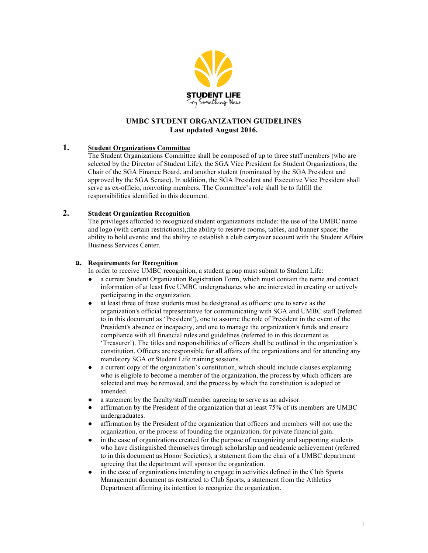

# **UMBC STUDENT ORGANIZATION GUIDELINES Last updated August 2016.**

## **1. Student Organizations Committee**

The Student Organizations Committee shall be composed of up to three staff members (who are selected by the Director of Student Life), the SGA Vice President for Student Organizations, the Chair of the SGA Finance Board, and another student (nominated by the SGA President and approved by the SGA Senate). In addition, the SGA President and Executive Vice President shall serve as ex-officio, nonvoting members. The Committee's role shall be to fulfill the responsibilities identified in this document.

## **2. Student Organization Recognition**

The privileges afforded to recognized student organizations include: the use of the UMBC name and logo (with certain restrictions),;the ability to reserve rooms, tables, and banner space; the ability to hold events; and the ability to establish a club carryover account with the Student Affairs Business Services Center.

#### **a. Requirements for Recognition**

In order to receive UMBC recognition, a student group must submit to Student Life:

- a current Student Organization Registration Form, which must contain the name and contact information of at least five UMBC undergraduates who are interested in creating or actively participating in the organization.
- at least three of these students must be designated as officers: one to serve as the organization's official representative for communicating with SGA and UMBC staff (referred to in this document as 'President'), one to assume the role of President in the event of the President's absence or incapacity, and one to manage the organization's funds and ensure compliance with all financial rules and guidelines (referred to in this document as 'Treasurer'). The titles and responsibilities of officers shall be outlined in the organization's constitution. Officers are responsible for all affairs of the organizations and for attending any mandatory SGA or Student Life training sessions.
- a current copy of the organization's constitution, which should include clauses explaining who is eligible to become a member of the organization, the process by which officers are selected and may be removed, and the process by which the constitution is adopted or amended.
- a statement by the faculty/staff member agreeing to serve as an advisor.
- affirmation by the President of the organization that at least 75% of its members are UMBC undergraduates.
- affirmation by the President of the organization that officers and members will not use the organization, or the process of founding the organization, for private financial gain.
- in the case of organizations created for the purpose of recognizing and supporting students who have distinguished themselves through scholarship and academic achievement (referred to in this document as Honor Societies), a statement from the chair of a UMBC department agreeing that the department will sponsor the organization.
- in the case of organizations intending to engage in activities defined in the Club Sports Management document as restricted to Club Sports, a statement from the Athletics Department affirming its intention to recognize the organization.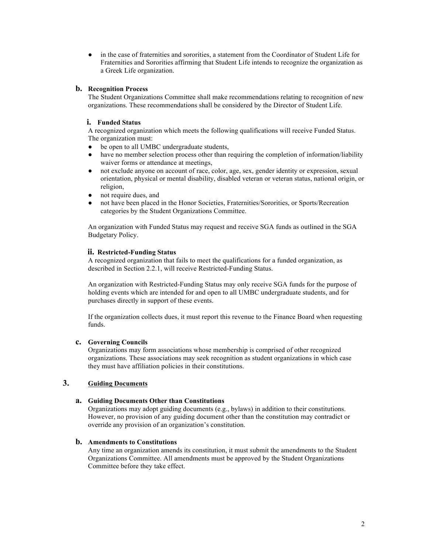● in the case of fraternities and sororities, a statement from the Coordinator of Student Life for Fraternities and Sororities affirming that Student Life intends to recognize the organization as a Greek Life organization.

#### **b. Recognition Process**

The Student Organizations Committee shall make recommendations relating to recognition of new organizations. These recommendations shall be considered by the Director of Student Life.

#### **i. Funded Status**

A recognized organization which meets the following qualifications will receive Funded Status. The organization must:

- be open to all UMBC undergraduate students,
- have no member selection process other than requiring the completion of information/liability waiver forms or attendance at meetings,
- not exclude anyone on account of race, color, age, sex, gender identity or expression, sexual orientation, physical or mental disability, disabled veteran or veteran status, national origin, or religion,
- not require dues, and
- not have been placed in the Honor Societies, Fraternities/Sororities, or Sports/Recreation categories by the Student Organizations Committee.

An organization with Funded Status may request and receive SGA funds as outlined in the SGA Budgetary Policy.

#### **ii. Restricted-Funding Status**

A recognized organization that fails to meet the qualifications for a funded organization, as described in Section 2.2.1, will receive Restricted-Funding Status.

An organization with Restricted-Funding Status may only receive SGA funds for the purpose of holding events which are intended for and open to all UMBC undergraduate students, and for purchases directly in support of these events.

If the organization collects dues, it must report this revenue to the Finance Board when requesting funds.

#### **c. Governing Councils**

Organizations may form associations whose membership is comprised of other recognized organizations. These associations may seek recognition as student organizations in which case they must have affiliation policies in their constitutions.

## **3. Guiding Documents**

#### **a. Guiding Documents Other than Constitutions**

Organizations may adopt guiding documents (e.g., bylaws) in addition to their constitutions. However, no provision of any guiding document other than the constitution may contradict or override any provision of an organization's constitution.

#### **b. Amendments to Constitutions**

Any time an organization amends its constitution, it must submit the amendments to the Student Organizations Committee. All amendments must be approved by the Student Organizations Committee before they take effect.